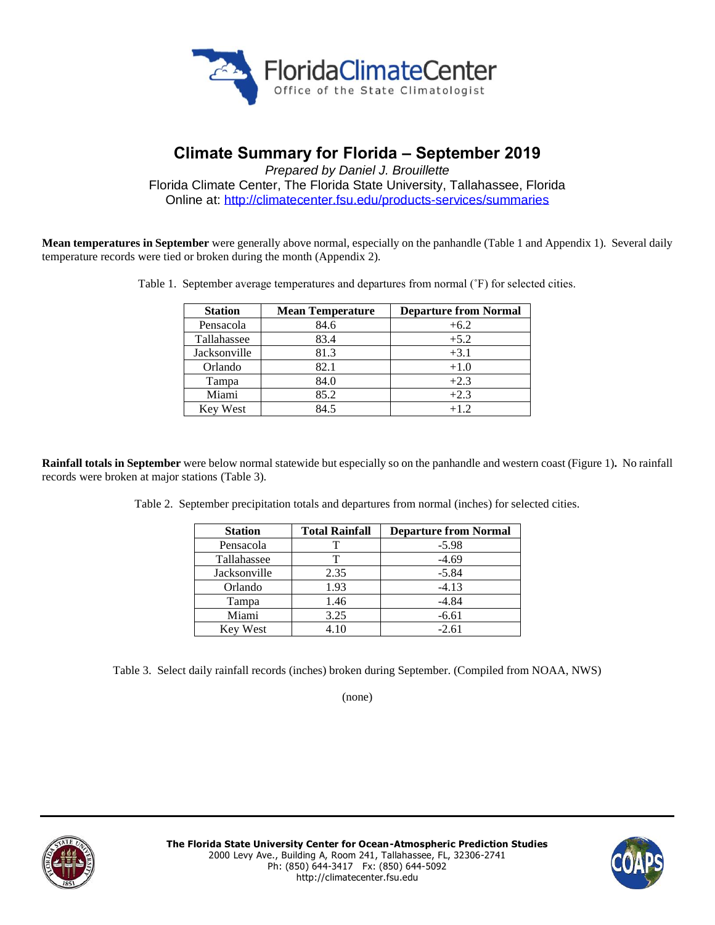

# **Climate Summary for Florida – September 2019**

*Prepared by Daniel J. Brouillette* Florida Climate Center, The Florida State University, Tallahassee, Florida Online at:<http://climatecenter.fsu.edu/products-services/summaries>

**Mean temperatures in September** were generally above normal, especially on the panhandle (Table 1 and Appendix 1). Several daily temperature records were tied or broken during the month (Appendix 2).

Table 1. September average temperatures and departures from normal (˚F) for selected cities.

| <b>Station</b>  | <b>Mean Temperature</b> | <b>Departure from Normal</b> |
|-----------------|-------------------------|------------------------------|
| Pensacola       | 84.6                    | $+6.2$                       |
| Tallahassee     | 83.4                    | $+5.2$                       |
| Jacksonville    | 81.3                    | $+3.1$                       |
| Orlando         | 82.1                    | $+1.0$                       |
| Tampa           | 84.0                    | $+2.3$                       |
| Miami           | 85.2                    | $+2.3$                       |
| <b>Key West</b> | 84.5                    | $+1.2$                       |

**Rainfall totals in September** were below normal statewide but especially so on the panhandle and western coast (Figure 1)**.** No rainfall records were broken at major stations (Table 3).

Table 2. September precipitation totals and departures from normal (inches) for selected cities.

| <b>Station</b>  | <b>Total Rainfall</b> | <b>Departure from Normal</b> |
|-----------------|-----------------------|------------------------------|
| Pensacola       |                       | $-5.98$                      |
| Tallahassee     |                       | $-4.69$                      |
| Jacksonville    | 2.35                  | $-5.84$                      |
| Orlando         | 1.93                  | $-4.13$                      |
| Tampa           | 1.46                  | $-4.84$                      |
| Miami           | 3.25                  | $-6.61$                      |
| <b>Key West</b> | 4.10                  | $-2.61$                      |

Table 3. Select daily rainfall records (inches) broken during September. (Compiled from NOAA, NWS)

(none)



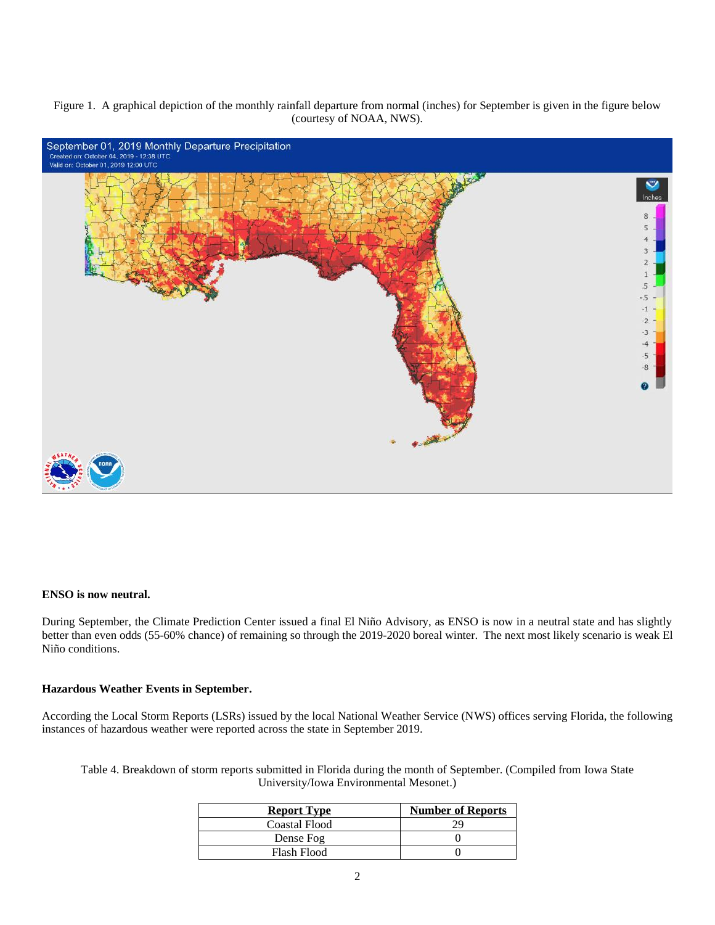Figure 1. A graphical depiction of the monthly rainfall departure from normal (inches) for September is given in the figure below (courtesy of NOAA, NWS).



#### **ENSO is now neutral.**

During September, the Climate Prediction Center issued a final El Niño Advisory, as ENSO is now in a neutral state and has slightly better than even odds (55-60% chance) of remaining so through the 2019-2020 boreal winter. The next most likely scenario is weak El Niño conditions.

### **Hazardous Weather Events in September.**

According the Local Storm Reports (LSRs) issued by the local National Weather Service (NWS) offices serving Florida, the following instances of hazardous weather were reported across the state in September 2019.

Table 4. Breakdown of storm reports submitted in Florida during the month of September. (Compiled from Iowa State University/Iowa Environmental Mesonet.)

| <b>Report Type</b>   | <b>Number of Reports</b> |
|----------------------|--------------------------|
| <b>Coastal Flood</b> |                          |
| Dense Fog            |                          |
| Flash Flood          |                          |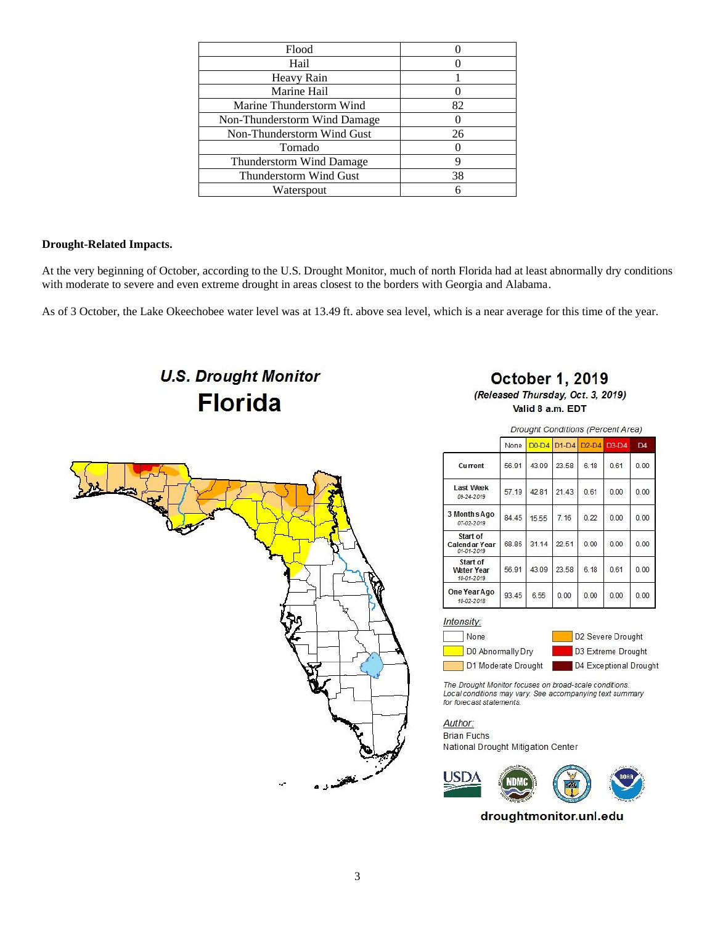| Flood                           |    |
|---------------------------------|----|
| Hail                            |    |
| Heavy Rain                      |    |
| Marine Hail                     |    |
| Marine Thunderstorm Wind        | 82 |
| Non-Thunderstorm Wind Damage    |    |
| Non-Thunderstorm Wind Gust      | 26 |
| Tornado                         |    |
| <b>Thunderstorm Wind Damage</b> |    |
| Thunderstorm Wind Gust          | 38 |
| Waterspout                      |    |
|                                 |    |

### **Drought-Related Impacts.**

At the very beginning of October, according to the U.S. Drought Monitor, much of north Florida had at least abnormally dry conditions with moderate to severe and even extreme drought in areas closest to the borders with Georgia and Alabama.

As of 3 October, the Lake Okeechobee water level was at 13.49 ft. above sea level, which is a near average for this time of the year.

**U.S. Drought Monitor Florida** 

## **October 1, 2019**

(Released Thursday, Oct. 3, 2019) Valid 8 a.m. EDT



Drought Conditions (Percent Area) None D0-D4 D1-D4  $D2-D4$  $D3-D4$ D<sub>4</sub> Current 56.91 43.09 23.58 6.18  $0.61$  $0.00$ Last Week 42.81 21.43  $0.00$  $0.00$ 57.19  $0.61$ 09-24-2019 3 Months Ago 84.45  $7.16$  $0.22$  $0.00$  $0.00$ 15.55 07-02-2019 Start of 68.86 31.14 22.51  $0.00$  $0.00$  $0.00$ Calendar Year Start of 43.09 23.58  $0.00$ **Water Year**<br>10-01-2019 56.91  $6.18$ 0.61 One Year Ago 93.45 6.55  $0.00$  $0.00$  $0.00$  $0.00$ 10-02-2018

Intensity:

None D0 Abnormally Dry D1 Moderate Drought

D2 Severe Drought D3 Extreme Drought D4 Exceptional Drought

The Drought Monitor focuses on broad-scale conditions. Local conditions may vary. See accompanying text summary for forecast statements.

Author:

**Brian Fuchs** National Drought Mitigation Center

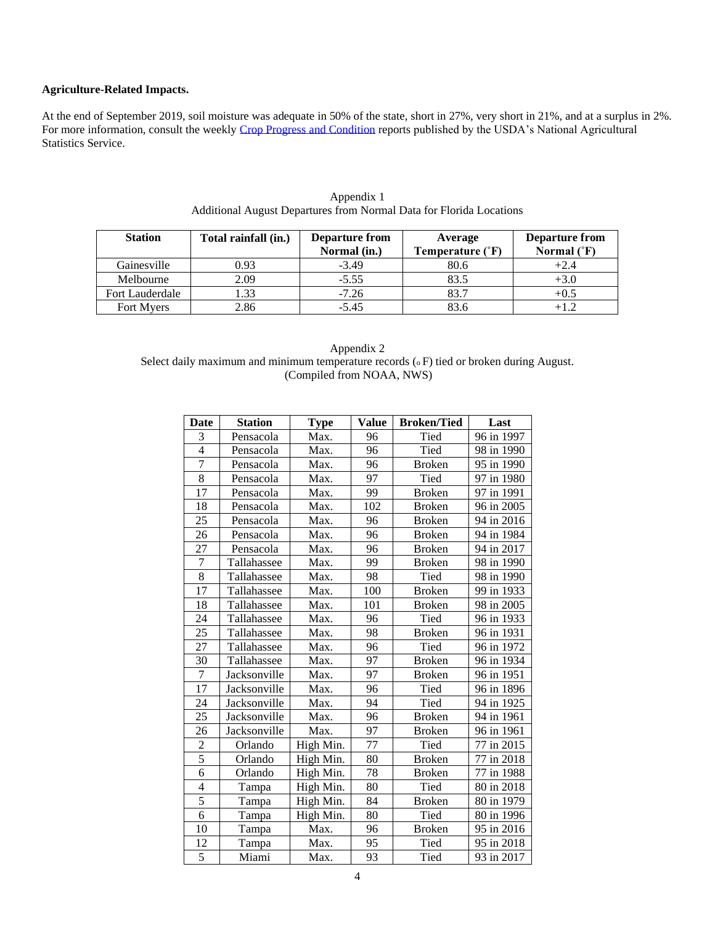## **Agriculture-Related Impacts.**

At the end of September 2019, soil moisture was adequate in 50% of the state, short in 27%, very short in 21%, and at a surplus in 2%. For more information, consult the weekly [Crop Progress and Condition](https://www.nass.usda.gov/Statistics_by_State/Florida/Publications/Crop_Progress_&_Condition/2019/wc070119.pdf) reports published by the USDA's National Agricultural Statistics Service.

| <b>Station</b>    | Total rainfall (in.) | <b>Departure from</b><br>Normal (in.) | Average<br>Temperature (°F) | <b>Departure from</b><br>Normal $(^{\circ}F)$ |
|-------------------|----------------------|---------------------------------------|-----------------------------|-----------------------------------------------|
| Gainesville       | 0.93                 | $-3.49$                               | 80.6                        | $+2.4$                                        |
| Melbourne         | 2.09                 | $-5.55$                               | 83.5                        | $+3.0$                                        |
| Fort Lauderdale   | 1.33                 | $-7.26$                               | 83.7                        | $+0.5$                                        |
| <b>Fort Myers</b> | 2.86                 | $-5.45$                               | 83.6                        |                                               |

| Appendix 1                                                          |  |
|---------------------------------------------------------------------|--|
| Additional August Departures from Normal Data for Florida Locations |  |

| Appendix 2                                                                                      |
|-------------------------------------------------------------------------------------------------|
| Select daily maximum and minimum temperature records ( $\circ$ F) tied or broken during August. |
| (Compiled from NOAA, NWS)                                                                       |

| <b>Date</b>    | <b>Station</b> | <b>Type</b> | <b>Value</b> | <b>Broken/Tied</b> | Last       |
|----------------|----------------|-------------|--------------|--------------------|------------|
| 3              | Pensacola      | Max.        | 96           | Tied               | 96 in 1997 |
| $\overline{4}$ | Pensacola      | Max.        | 96           | Tied               | 98 in 1990 |
| 7              | Pensacola      | Max.        | 96           | <b>Broken</b>      | 95 in 1990 |
| 8              | Pensacola      | Max.        | 97           | Tied               | 97 in 1980 |
| 17             | Pensacola      | Max.        | 99           | <b>Broken</b>      | 97 in 1991 |
| 18             | Pensacola      | Max.        | 102          | <b>Broken</b>      | 96 in 2005 |
| 25             | Pensacola      | Max.        | 96           | <b>Broken</b>      | 94 in 2016 |
| 26             | Pensacola      | Max.        | 96           | <b>Broken</b>      | 94 in 1984 |
| $27\,$         | Pensacola      | Max.        | 96           | <b>Broken</b>      | 94 in 2017 |
| $\overline{7}$ | Tallahassee    | Max.        | 99           | <b>Broken</b>      | 98 in 1990 |
| 8              | Tallahassee    | Max.        | 98           | Tied               | 98 in 1990 |
| 17             | Tallahassee    | Max.        | 100          | <b>Broken</b>      | 99 in 1933 |
| 18             | Tallahassee    | Max.        | 101          | <b>Broken</b>      | 98 in 2005 |
| 24             | Tallahassee    | Max.        | 96           | Tied               | 96 in 1933 |
| 25             | Tallahassee    | Max.        | 98           | <b>Broken</b>      | 96 in 1931 |
| 27             | Tallahassee    | Max.        | 96           | Tied               | 96 in 1972 |
| 30             | Tallahassee    | Max.        | 97           | <b>Broken</b>      | 96 in 1934 |
| 7              | Jacksonville   | Max.        | 97           | <b>Broken</b>      | 96 in 1951 |
| 17             | Jacksonville   | Max.        | 96           | Tied               | 96 in 1896 |
| 24             | Jacksonville   | Max.        | 94           | Tied               | 94 in 1925 |
| 25             | Jacksonville   | Max.        | 96           | <b>Broken</b>      | 94 in 1961 |
| 26             | Jacksonville   | Max.        | 97           | <b>Broken</b>      | 96 in 1961 |
| $\mathbf{2}$   | Orlando        | High Min.   | 77           | Tied               | 77 in 2015 |
| $\overline{5}$ | Orlando        | High Min.   | 80           | <b>Broken</b>      | 77 in 2018 |
| 6              | Orlando        | High Min.   | 78           | <b>Broken</b>      | 77 in 1988 |
| $\overline{4}$ | Tampa          | High Min.   | 80           | Tied               | 80 in 2018 |
| $\overline{5}$ | Tampa          | High Min.   | 84           | <b>Broken</b>      | 80 in 1979 |
| 6              | Tampa          | High Min.   | 80           | Tied               | 80 in 1996 |
| 10             | Tampa          | Max.        | 96           | <b>Broken</b>      | 95 in 2016 |
| 12             | Tampa          | Max.        | 95           | Tied               | 95 in 2018 |
| $\overline{5}$ | Miami          | Max.        | 93           | Tied               | 93 in 2017 |